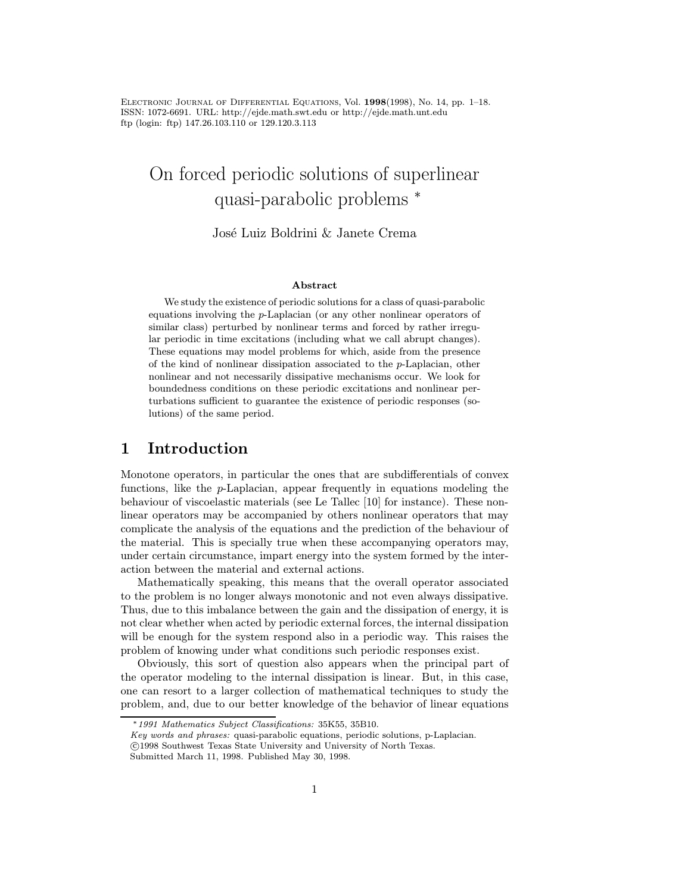Electronic Journal of Differential Equations, Vol. 1998(1998), No. 14, pp. 1–18. ISSN: 1072-6691. URL: http://ejde.math.swt.edu or http://ejde.math.unt.edu ftp (login: ftp) 147.26.103.110 or 129.120.3.113

# On forced periodic solutions of superlinear quasi-parabolic problems <sup>∗</sup>

### José Luiz Boldrini & Janete Crema

#### Abstract

We study the existence of periodic solutions for a class of quasi-parabolic equations involving the p-Laplacian (or any other nonlinear operators of similar class) perturbed by nonlinear terms and forced by rather irregular periodic in time excitations (including what we call abrupt changes). These equations may model problems for which, aside from the presence of the kind of nonlinear dissipation associated to the p-Laplacian, other nonlinear and not necessarily dissipative mechanisms occur. We look for boundedness conditions on these periodic excitations and nonlinear perturbations sufficient to guarantee the existence of periodic responses (solutions) of the same period.

## 1 Introduction

Monotone operators, in particular the ones that are subdifferentials of convex functions, like the p-Laplacian, appear frequently in equations modeling the behaviour of viscoelastic materials (see Le Tallec [10] for instance). These nonlinear operators may be accompanied by others nonlinear operators that may complicate the analysis of the equations and the prediction of the behaviour of the material. This is specially true when these accompanying operators may, under certain circumstance, impart energy into the system formed by the interaction between the material and external actions.

Mathematically speaking, this means that the overall operator associated to the problem is no longer always monotonic and not even always dissipative. Thus, due to this imbalance between the gain and the dissipation of energy, it is not clear whether when acted by periodic external forces, the internal dissipation will be enough for the system respond also in a periodic way. This raises the problem of knowing under what conditions such periodic responses exist.

Obviously, this sort of question also appears when the principal part of the operator modeling to the internal dissipation is linear. But, in this case, one can resort to a larger collection of mathematical techniques to study the problem, and, due to our better knowledge of the behavior of linear equations

<sup>∗</sup>1991 Mathematics Subject Classifications: 35K55, 35B10.

Key words and phrases: quasi-parabolic equations, periodic solutions, p-Laplacian. c 1998 Southwest Texas State University and University of North Texas.

Submitted March 11, 1998. Published May 30, 1998.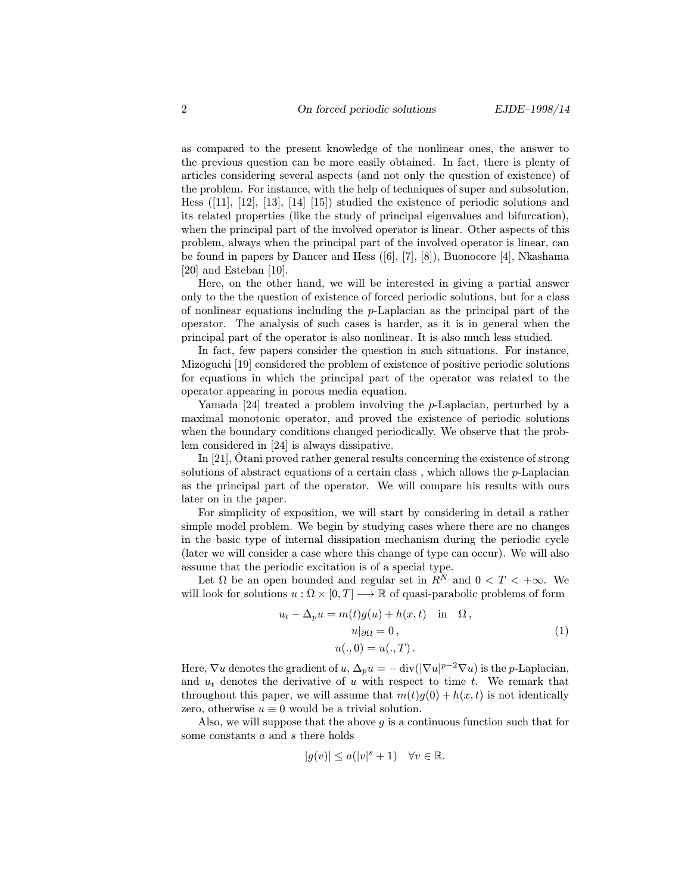as compared to the present knowledge of the nonlinear ones, the answer to the previous question can be more easily obtained. In fact, there is plenty of articles considering several aspects (and not only the question of existence) of the problem. For instance, with the help of techniques of super and subsolution, Hess ([11], [12], [13], [14] [15]) studied the existence of periodic solutions and its related properties (like the study of principal eigenvalues and bifurcation), when the principal part of the involved operator is linear. Other aspects of this problem, always when the principal part of the involved operator is linear, can be found in papers by Dancer and Hess ([6], [7], [8]), Buonocore [4], Nkashama [20] and Esteban [10].

Here, on the other hand, we will be interested in giving a partial answer only to the the question of existence of forced periodic solutions, but for a class of nonlinear equations including the  $p$ -Laplacian as the principal part of the operator. The analysis of such cases is harder, as it is in general when the principal part of the operator is also nonlinear. It is also much less studied.

In fact, few papers consider the question in such situations. For instance, Mizoguchi [19] considered the problem of existence of positive periodic solutions for equations in which the principal part of the operator was related to the operator appearing in porous media equation.

Yamada [24] treated a problem involving the p-Laplacian, perturbed by a maximal monotonic operator, and proved the existence of periodic solutions when the boundary conditions changed periodically. We observe that the problem considered in [24] is always dissipative.

In [21],  $\hat{O}$ tani proved rather general results concerning the existence of strong solutions of abstract equations of a certain class, which allows the  $p$ -Laplacian as the principal part of the operator. We will compare his results with ours later on in the paper.

For simplicity of exposition, we will start by considering in detail a rather simple model problem. We begin by studying cases where there are no changes in the basic type of internal dissipation mechanism during the periodic cycle (later we will consider a case where this change of type can occur). We will also assume that the periodic excitation is of a special type.

Let  $\Omega$  be an open bounded and regular set in  $R^N$  and  $0 < T < +\infty$ . We will look for solutions  $u : \Omega \times [0, T] \longrightarrow \mathbb{R}$  of quasi-parabolic problems of form

$$
u_t - \Delta_p u = m(t)g(u) + h(x, t) \quad \text{in} \quad \Omega,
$$
  
\n
$$
u|_{\partial \Omega} = 0,
$$
  
\n
$$
u(., 0) = u(., T).
$$
\n(1)

Here,  $\nabla u$  denotes the gradient of  $u, \Delta_p u = -\text{div}(|\nabla u|^{p-2} \nabla u)$  is the p-Laplacian, and  $u_t$  denotes the derivative of u with respect to time t. We remark that throughout this paper, we will assume that  $m(t)g(0) + h(x, t)$  is not identically zero, otherwise  $u \equiv 0$  would be a trivial solution.

Also, we will suppose that the above  $q$  is a continuous function such that for some constants a and s there holds

$$
|g(v)| \le a(|v|^s + 1) \quad \forall v \in \mathbb{R}.
$$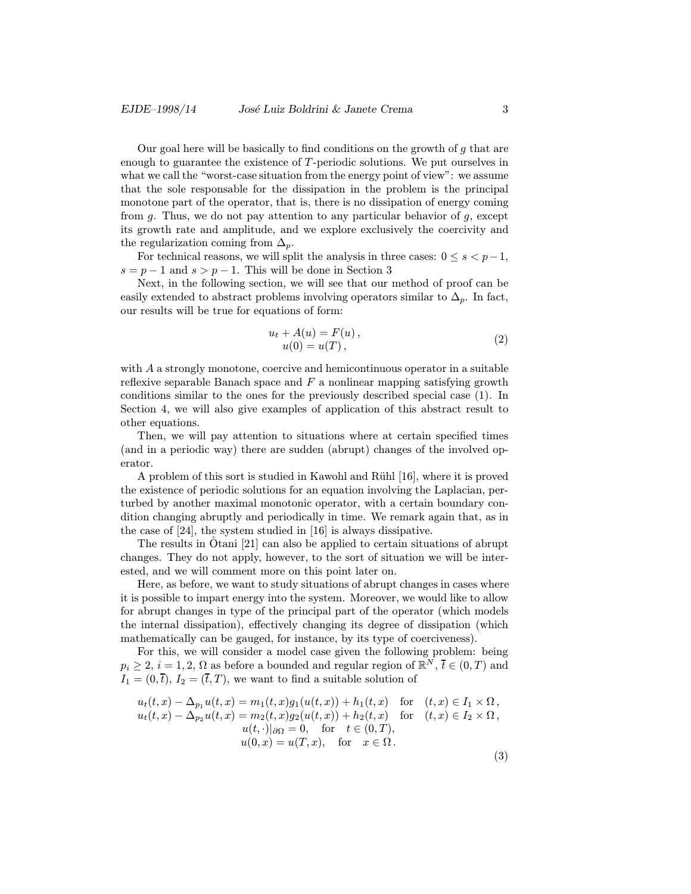Our goal here will be basically to find conditions on the growth of  $g$  that are enough to guarantee the existence of T-periodic solutions. We put ourselves in what we call the "worst-case situation from the energy point of view": we assume that the sole responsable for the dissipation in the problem is the principal monotone part of the operator, that is, there is no dissipation of energy coming from  $g$ . Thus, we do not pay attention to any particular behavior of  $g$ , except its growth rate and amplitude, and we explore exclusively the coercivity and the regularization coming from  $\Delta_p$ .

For technical reasons, we will split the analysis in three cases:  $0 \leq s < p-1$ ,  $s = p - 1$  and  $s > p - 1$ . This will be done in Section 3

Next, in the following section, we will see that our method of proof can be easily extended to abstract problems involving operators similar to  $\Delta_p$ . In fact, our results will be true for equations of form:

$$
u_t + A(u) = F(u), u(0) = u(T),
$$
 (2)

with A a strongly monotone, coercive and hemicontinuous operator in a suitable reflexive separable Banach space and  $F$  a nonlinear mapping satisfying growth conditions similar to the ones for the previously described special case (1). In Section 4, we will also give examples of application of this abstract result to other equations.

Then, we will pay attention to situations where at certain specified times (and in a periodic way) there are sudden (abrupt) changes of the involved operator.

A problem of this sort is studied in Kawohl and Rühl [16], where it is proved the existence of periodic solutions for an equation involving the Laplacian, perturbed by another maximal monotonic operator, with a certain boundary condition changing abruptly and periodically in time. We remark again that, as in the case of [24], the system studied in [16] is always dissipative.

The results in Otani [21] can also be applied to certain situations of abrupt changes. They do not apply, however, to the sort of situation we will be interested, and we will comment more on this point later on.

Here, as before, we want to study situations of abrupt changes in cases where it is possible to impart energy into the system. Moreover, we would like to allow for abrupt changes in type of the principal part of the operator (which models the internal dissipation), effectively changing its degree of dissipation (which mathematically can be gauged, for instance, by its type of coerciveness).

For this, we will consider a model case given the following problem: being  $p_i \geq 2$ ,  $i = 1, 2, \Omega$  as before a bounded and regular region of  $\mathbb{R}^N$ ,  $\overline{t} \in (0, T)$  and  $I_1 = (0,\bar{t}), I_2 = (\bar{t},T)$ , we want to find a suitable solution of

$$
u_t(t,x) - \Delta_{p_1} u(t,x) = m_1(t,x)g_1(u(t,x)) + h_1(t,x) \text{ for } (t,x) \in I_1 \times \Omega,
$$
  
\n
$$
u_t(t,x) - \Delta_{p_2} u(t,x) = m_2(t,x)g_2(u(t,x)) + h_2(t,x) \text{ for } (t,x) \in I_2 \times \Omega,
$$
  
\n
$$
u(t,\cdot)|_{\partial\Omega} = 0, \text{ for } t \in (0,T),
$$
  
\n
$$
u(0,x) = u(T,x), \text{ for } x \in \Omega.
$$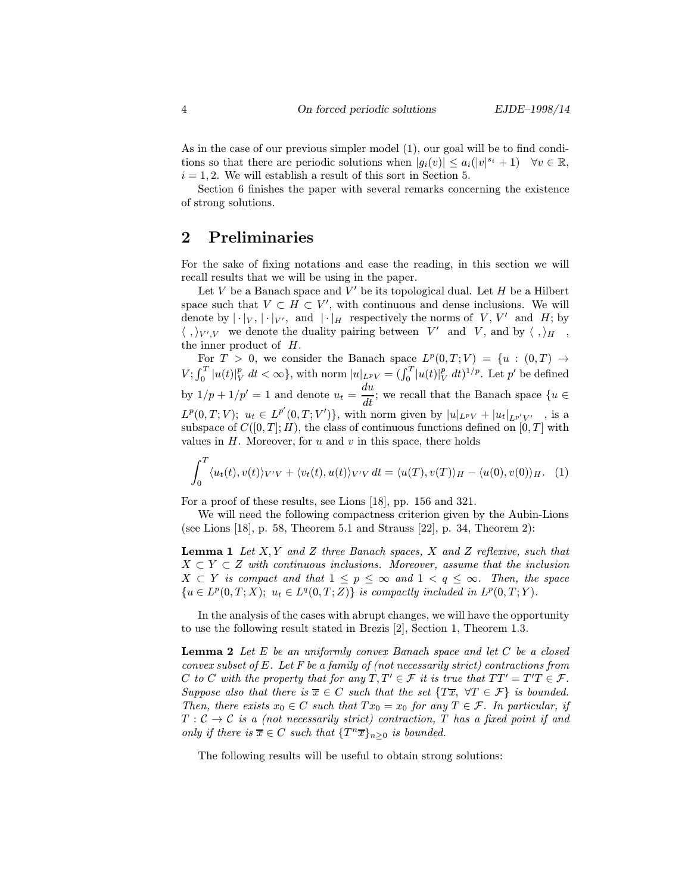As in the case of our previous simpler model (1), our goal will be to find conditions so that there are periodic solutions when  $|g_i(v)| \leq a_i(|v|^{s_i}+1)$   $\forall v \in \mathbb{R}$ ,  $i = 1, 2$ . We will establish a result of this sort in Section 5.

Section 6 finishes the paper with several remarks concerning the existence of strong solutions.

## 2 Preliminaries

For the sake of fixing notations and ease the reading, in this section we will recall results that we will be using in the paper.

Let  $V$  be a Banach space and  $V'$  be its topological dual. Let  $H$  be a Hilbert space such that  $V \subset H \subset V'$ , with continuous and dense inclusions. We will denote by  $|\cdot|_V$ ,  $|\cdot|_{V'}$ , and  $|\cdot|_H$  respectively the norms of V, V' and H; by  $\langle ,\rangle_{V',V}$  we denote the duality pairing between V' and V, and by  $\langle ,\rangle_H$ , the inner product of H.

For  $T > 0$ , we consider the Banach space  $L^p(0,T;V) = \{u : (0,T) \rightarrow$  $V; \int_0^T |u(t)|_V^p dt < \infty$ , with norm  $|u|_{L^pV} = (\int_0^T |u(t)|_V^p dt)^{1/p}$ . Let  $p'$  be defined by  $1/p + 1/p' = 1$  and denote  $u_t = \frac{du}{dt}$ ; we recall that the Banach space  $\{u \in$  $L^p(0,T;V); u_t \in L^{p'}(0,T;V')\},\$  with norm given by  $|u|_{L^pV} + |u_t|_{L^{p'}V'}$ , is a subspace of  $C([0, T]; H)$ , the class of continuous functions defined on  $[0, T]$  with values in  $H$ . Moreover, for  $u$  and  $v$  in this space, there holds

$$
\int_0^T \langle u_t(t), v(t) \rangle_{V'V} + \langle v_t(t), u(t) \rangle_{V'V} dt = \langle u(T), v(T) \rangle_H - \langle u(0), v(0) \rangle_H.
$$
 (1)

For a proof of these results, see Lions [18], pp. 156 and 321.

We will need the following compactness criterion given by the Aubin-Lions (see Lions [18], p. 58, Theorem 5.1 and Strauss [22], p. 34, Theorem 2):

**Lemma 1** Let  $X, Y$  and  $Z$  three Banach spaces,  $X$  and  $Z$  reflexive, such that  $X \subset Y \subset Z$  with continuous inclusions. Moreover, assume that the inclusion  $X \subset Y$  is compact and that  $1 \leq p \leq \infty$  and  $1 < q \leq \infty$ . Then, the space  ${u \in L^p(0,T;X); u_t \in L^q(0,T;Z)}$  is compactly included in  $L^p(0,T;Y)$ .

In the analysis of the cases with abrupt changes, we will have the opportunity to use the following result stated in Brezis [2], Section 1, Theorem 1.3.

**Lemma 2** Let  $E$  be an uniformly convex Banach space and let  $C$  be a closed convex subset of E. Let F be a family of (not necessarily strict) contractions from C to C with the property that for any  $T, T' \in \mathcal{F}$  it is true that  $TT' = T'T \in \mathcal{F}$ . Suppose also that there is  $\overline{x} \in C$  such that the set  $\{T\overline{x}, \forall T \in \mathcal{F}\}\$  is bounded. Then, there exists  $x_0 \in C$  such that  $Tx_0 = x_0$  for any  $T \in \mathcal{F}$ . In particular, if  $T: \mathcal{C} \to \mathcal{C}$  is a (not necessarily strict) contraction, T has a fixed point if and only if there is  $\overline{x} \in C$  such that  $\{T^n \overline{x}\}_n>0$  is bounded.

The following results will be useful to obtain strong solutions: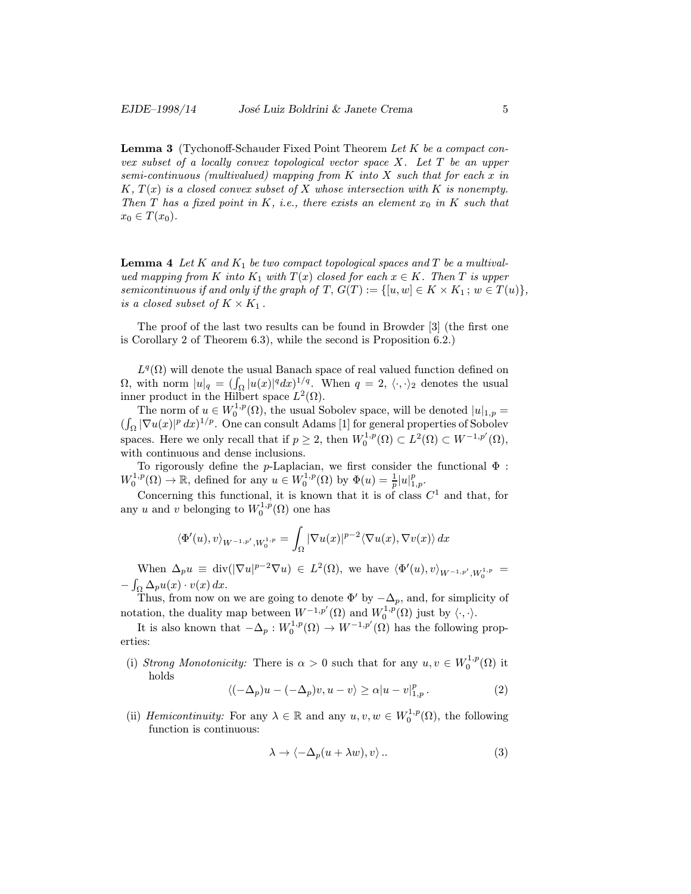Lemma 3 (Tychonoff-Schauder Fixed Point Theorem Let K be a compact convex subset of a locally convex topological vector space  $X$ . Let  $T$  be an upper semi-continuous (multivalued) mapping from  $K$  into  $X$  such that for each  $x$  in  $K, T(x)$  is a closed convex subset of X whose intersection with K is nonempty. Then T has a fixed point in K, i.e., there exists an element  $x_0$  in K such that  $x_0 \in T(x_0)$ .

**Lemma 4** Let K and  $K_1$  be two compact topological spaces and T be a multivalued mapping from K into  $K_1$  with  $T(x)$  closed for each  $x \in K$ . Then T is upper semicontinuous if and only if the graph of  $T, G(T) := \{ [u, w] \in K \times K_1 : w \in T(u) \},\$ is a closed subset of  $K \times K_1$ .

The proof of the last two results can be found in Browder [3] (the first one is Corollary 2 of Theorem 6.3), while the second is Proposition 6.2.)

 $L^{q}(\Omega)$  will denote the usual Banach space of real valued function defined on  $\Omega$ , with norm  $|u|_q = (\int_{\Omega} |u(x)|^q dx)^{1/q}$ . When  $q = 2, \langle \cdot, \cdot \rangle_2$  denotes the usual inner product in the Hilbert space  $L^2(\Omega)$ .

The norm of  $u \in W_0^{1,p}(\Omega)$ , the usual Sobolev space, will be denoted  $|u|_{1,p} =$  $(\int_{\Omega} |\nabla u(x)|^p dx)^{1/p}$ . One can consult Adams [1] for general properties of Sobolev spaces. Here we only recall that if  $p \geq 2$ , then  $W_0^{1,p}(\Omega) \subset L^2(\Omega) \subset W^{-1,p'}(\Omega)$ , with continuous and dense inclusions.

To rigorously define the p-Laplacian, we first consider the functional  $\Phi$ :  $W_0^{1,p}(\Omega) \to \mathbb{R}$ , defined for any  $u \in W_0^{1,p}(\Omega)$  by  $\Phi(u) = \frac{1}{p} |u|_{1,p}^p$ .

Concerning this functional, it is known that it is of class  $C^1$  and that, for any u and v belonging to  $W_0^{1,p}(\Omega)$  one has

$$
\langle \Phi'(u), v \rangle_{W^{-1,p'}, W_0^{1,p}} = \int_{\Omega} |\nabla u(x)|^{p-2} \langle \nabla u(x), \nabla v(x) \rangle dx
$$

When  $\Delta_p u \equiv \text{div}(|\nabla u|^{p-2} \nabla u) \in L^2(\Omega)$ , we have  $\langle \Phi'(u), v \rangle_{W^{-1,p'}, W_0^{1,p}} =$  $-\int_{\Omega}\Delta_p u(x)\cdot v(x)\,dx.$ 

Thus, from now on we are going to denote  $\Phi'$  by  $-\Delta_p$ , and, for simplicity of notation, the duality map between  $W^{-1,p'}(\Omega)$  and  $W_0^{1,p}(\Omega)$  just by  $\langle \cdot, \cdot \rangle$ .

It is also known that  $-\Delta_p: W_0^{1,p}(\Omega) \to W^{-1,p'}(\Omega)$  has the following properties:

(i) Strong Monotonicity: There is  $\alpha > 0$  such that for any  $u, v \in W_0^{1,p}(\Omega)$  it holds

$$
\langle (-\Delta_p)u - (-\Delta_p)v, u - v \rangle \ge \alpha |u - v|_{1,p}^p. \tag{2}
$$

(ii) *Hemicontinuity:* For any  $\lambda \in \mathbb{R}$  and any  $u, v, w \in W_0^{1,p}(\Omega)$ , the following function is continuous:

$$
\lambda \to \langle -\Delta_p(u + \lambda w), v \rangle \,. \tag{3}
$$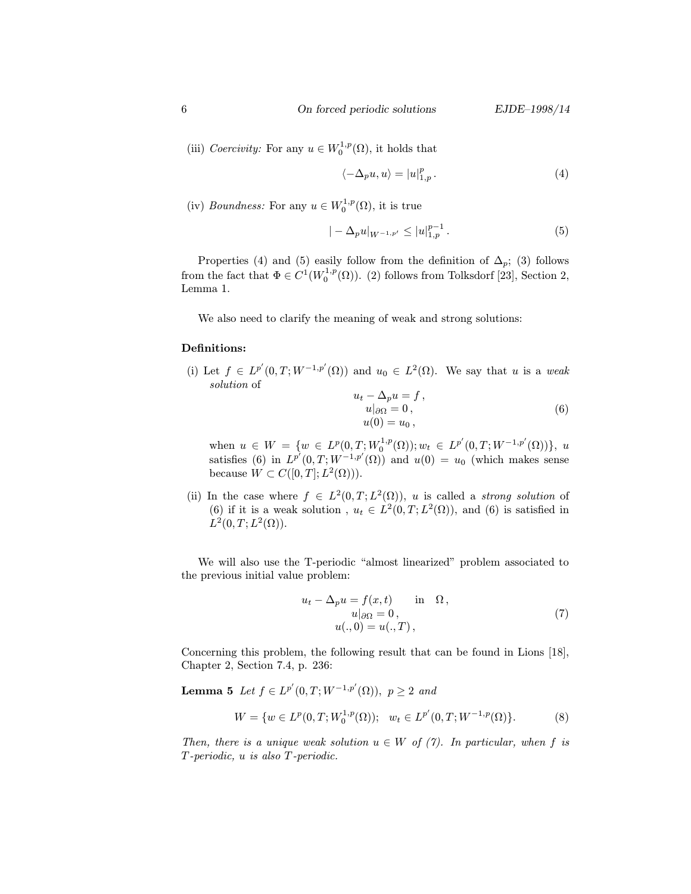(iii) Coercivity: For any  $u \in W_0^{1,p}(\Omega)$ , it holds that

$$
\langle -\Delta_p u, u \rangle = |u|_{1,p}^p. \tag{4}
$$

(iv) *Boundness:* For any  $u \in W_0^{1,p}(\Omega)$ , it is true

$$
| - \Delta_p u |_{W^{-1,p'}} \le |u|_{1,p}^{p-1} . \tag{5}
$$

Properties (4) and (5) easily follow from the definition of  $\Delta_p$ ; (3) follows from the fact that  $\Phi \in C^1(W_0^{1,p}(\Omega))$ . (2) follows from Tolksdorf [23], Section 2, Lemma 1.

We also need to clarify the meaning of weak and strong solutions:

#### Definitions:

(i) Let  $f \in L^{p'}(0,T;W^{-1,p'}(\Omega))$  and  $u_0 \in L^2(\Omega)$ . We say that u is a weak solution of  $u_t - \Delta_n u = f$ 

$$
u^2 + \Delta p u = f,
$$
  
\n
$$
u|_{\partial \Omega} = 0,
$$
  
\n
$$
u(0) = u_0,
$$
\n(6)

when  $u \in W = \{w \in L^p(0,T;W_0^{1,p}(\Omega)) ; w_t \in L^{p'}(0,T;W^{-1,p'}(\Omega))\},\ u$ satisfies (6) in  $L^{p'}(0,T;W^{-1,p'}(\Omega))$  and  $u(0) = u_0$  (which makes sense because  $W \subset C([0,T];L^2(\Omega))$ .

(ii) In the case where  $f \in L^2(0,T;L^2(\Omega))$ , u is called a *strong solution* of (6) if it is a weak solution,  $u_t \in L^2(0,T;L^2(\Omega))$ , and (6) is satisfied in  $L^2(0,T;L^2(\Omega)).$ 

We will also use the T-periodic "almost linearized" problem associated to the previous initial value problem:

$$
u_t - \Delta_p u = f(x, t) \quad \text{in} \quad \Omega,
$$
  
\n
$$
u|_{\partial \Omega} = 0,
$$
  
\n
$$
u(., 0) = u(., T),
$$
\n(7)

Concerning this problem, the following result that can be found in Lions [18], Chapter 2, Section 7.4, p. 236:

**Lemma 5** Let  $f \in L^{p'}(0,T; W^{-1,p'}(\Omega))$ ,  $p \ge 2$  and

$$
W = \{ w \in L^p(0, T; W_0^{1, p}(\Omega)); \quad w_t \in L^{p'}(0, T; W^{-1, p}(\Omega)) \}.
$$
 (8)

Then, there is a unique weak solution  $u \in W$  of (7). In particular, when f is T -periodic, u is also T -periodic.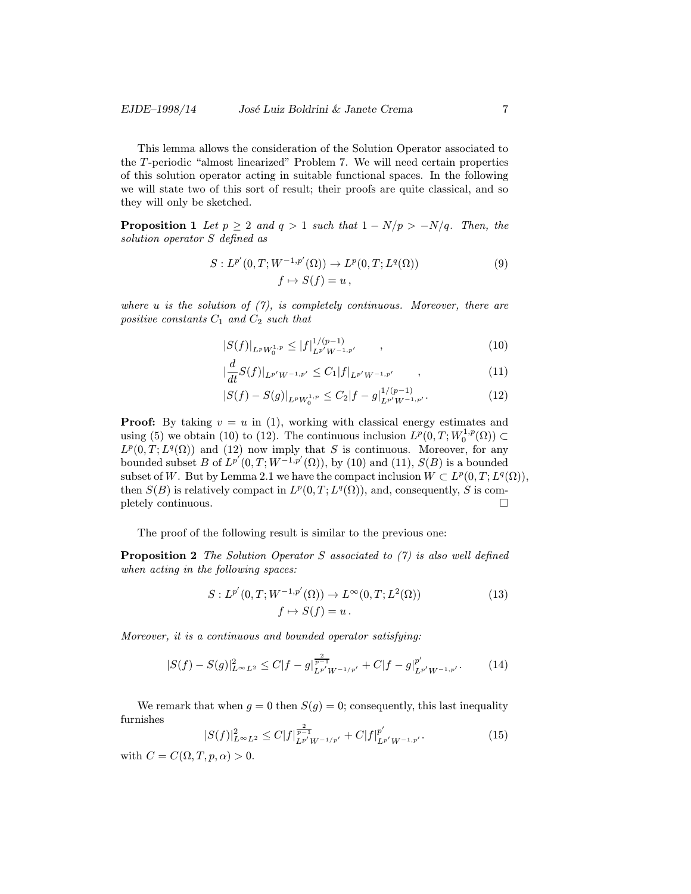This lemma allows the consideration of the Solution Operator associated to the T -periodic "almost linearized" Problem 7. We will need certain properties of this solution operator acting in suitable functional spaces. In the following we will state two of this sort of result; their proofs are quite classical, and so they will only be sketched.

**Proposition 1** Let  $p \geq 2$  and  $q > 1$  such that  $1 - N/p > -N/q$ . Then, the solution operator S defined as

$$
S: L^{p'}(0,T; W^{-1,p'}(\Omega)) \to L^{p}(0,T; L^{q}(\Omega))
$$
  

$$
f \mapsto S(f) = u,
$$
 (9)

where u is the solution of  $(7)$ , is completely continuous. Moreover, there are positive constants  $C_1$  and  $C_2$  such that

$$
|S(f)|_{L^p W_0^{1,p}} \le |f|_{L^{p'} W^{-1,p'}}^{1/(p-1)}, \qquad (10)
$$

$$
\left|\frac{d}{dt}S(f)\right|_{L^{p'}W^{-1,p'}} \leq C_1 |f|_{L^{p'}W^{-1,p'}} \qquad , \qquad (11)
$$

$$
|S(f) - S(g)|_{L^p W_0^{1,p}} \le C_2 |f - g|_{L^{p'} W^{-1,p'}}^{1/(p-1)}.
$$
 (12)

**Proof:** By taking  $v = u$  in (1), working with classical energy estimates and using (5) we obtain (10) to (12). The continuous inclusion  $L^p(0,T;W_0^{1,p}(\Omega)) \subset$  $L^p(0,T;L^q(\Omega))$  and (12) now imply that S is continuous. Moreover, for any bounded subset B of  $L^{p'}(0,T;W^{-1,p'}(\Omega))$ , by (10) and (11),  $S(B)$  is a bounded subset of W. But by Lemma 2.1 we have the compact inclusion  $W \subset L^p(0,T;L^q(\Omega)),$ then  $S(B)$  is relatively compact in  $L^p(0,T;L^q(\Omega))$ , and, consequently, S is com- $\Box$  pletely continuous.

The proof of the following result is similar to the previous one:

**Proposition 2** The Solution Operator S associated to  $(7)$  is also well defined when acting in the following spaces:

$$
S: L^{p'}(0,T;W^{-1,p'}(\Omega)) \to L^{\infty}(0,T;L^{2}(\Omega))
$$
  

$$
f \mapsto S(f) = u.
$$
 (13)

Moreover, it is a continuous and bounded operator satisfying:

$$
|S(f) - S(g)|_{L^{\infty}L^2}^2 \le C|f - g|_{L^{p'}W^{-1/p'}}^{\frac{2}{p-1}} + C|f - g|_{L^{p'}W^{-1,p'}}^{p'}.
$$
 (14)

We remark that when  $g = 0$  then  $S(g) = 0$ ; consequently, this last inequality furnishes

$$
|S(f)|_{L^{\infty}L^{2}}^{2} \leq C|f|_{L^{p'}W^{-1/p'}}^{\frac{2}{p-1}} + C|f|_{L^{p'}W^{-1,p'}}^{p'}.
$$
\n(15)

with  $C = C(\Omega, T, p, \alpha) > 0$ .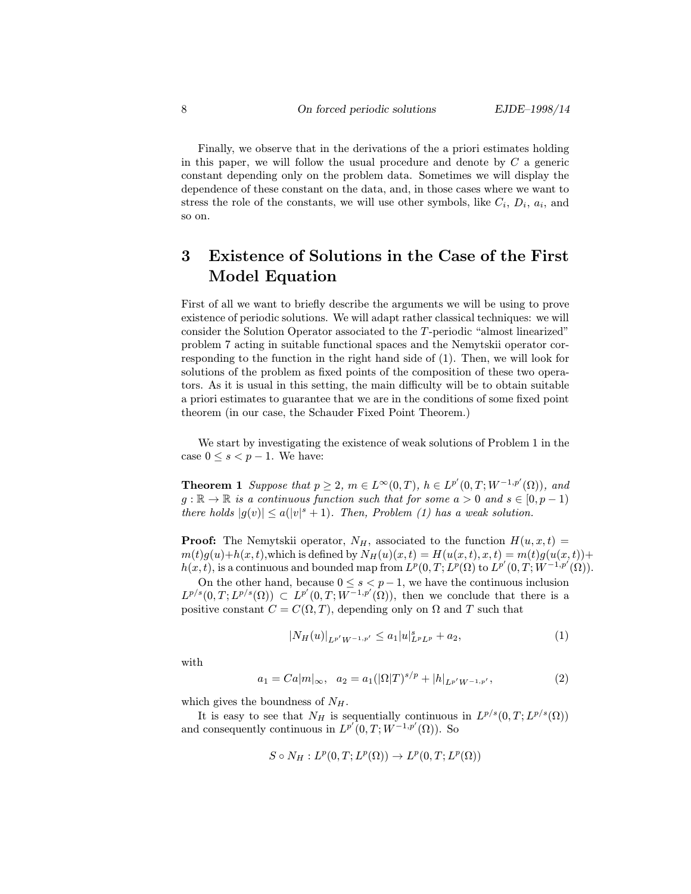Finally, we observe that in the derivations of the a priori estimates holding in this paper, we will follow the usual procedure and denote by  $C$  a generic constant depending only on the problem data. Sometimes we will display the dependence of these constant on the data, and, in those cases where we want to stress the role of the constants, we will use other symbols, like  $C_i$ ,  $D_i$ ,  $a_i$ , and so on.

## 3 Existence of Solutions in the Case of the First Model Equation

First of all we want to briefly describe the arguments we will be using to prove existence of periodic solutions. We will adapt rather classical techniques: we will consider the Solution Operator associated to the T -periodic "almost linearized" problem 7 acting in suitable functional spaces and the Nemytskii operator corresponding to the function in the right hand side of (1). Then, we will look for solutions of the problem as fixed points of the composition of these two operators. As it is usual in this setting, the main difficulty will be to obtain suitable a priori estimates to guarantee that we are in the conditions of some fixed point theorem (in our case, the Schauder Fixed Point Theorem.)

We start by investigating the existence of weak solutions of Problem 1 in the case  $0 \leq s < p - 1$ . We have:

**Theorem 1** Suppose that  $p \geq 2$ ,  $m \in L^{\infty}(0,T)$ ,  $h \in L^{p'}(0,T;W^{-1,p'}(\Omega))$ , and  $g : \mathbb{R} \to \mathbb{R}$  is a continuous function such that for some  $a > 0$  and  $s \in [0, p-1)$ there holds  $|g(v)| \le a(|v|^s + 1)$ . Then, Problem (1) has a weak solution.

**Proof:** The Nemytskii operator,  $N_H$ , associated to the function  $H(u, x, t) =$  $m(t)g(u)+h(x,t)$ , which is defined by  $N_H(u)(x,t) = H(u(x,t), x, t) = m(t)g(u(x,t)) +$  $h(x,t)$ , is a continuous and bounded map from  $L^p(0,T;L^p(\Omega)$  to  $L^{p'}(0,T;W^{-1,p'}(\Omega))$ .

On the other hand, because  $0 \leq s < p-1$ , we have the continuous inclusion  $L^{p/s}(0,T;L^{p/s}(\Omega)) \subset L^{p'}(0,T;W^{-1,p'}(\Omega))$ , then we conclude that there is a positive constant  $C = C(\Omega, T)$ , depending only on  $\Omega$  and T such that

$$
|N_H(u)|_{L^{p'}W^{-1,p'}} \le a_1 |u|_{L^p L^p}^s + a_2,
$$
\n(1)

with

$$
a_1 = Ca|m|_{\infty}, \ \ a_2 = a_1(|\Omega|T)^{s/p} + |h|_{L^{p'}W^{-1,p'}}, \tag{2}
$$

which gives the boundness of  $N_H$ .

It is easy to see that  $N_H$  is sequentially continuous in  $L^{p/s}(0,T;L^{p/s}(\Omega))$ and consequently continuous in  $L^{p'}(0,T;W^{-1,p'}(\Omega))$ . So

$$
S \circ N_H: L^p(0,T; L^p(\Omega)) \to L^p(0,T; L^p(\Omega))
$$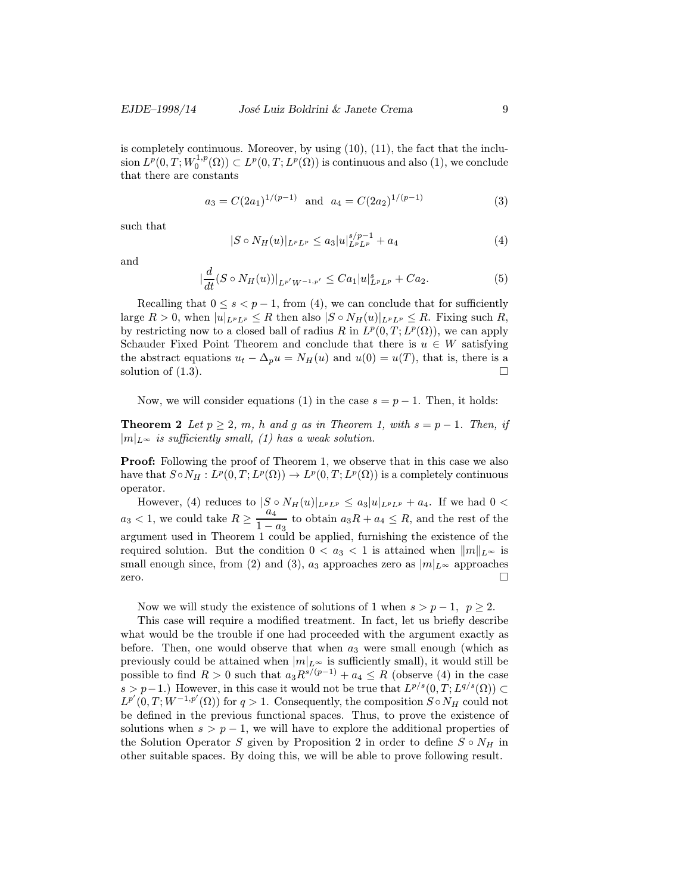is completely continuous. Moreover, by using (10), (11), the fact that the inclu- $\sin L^p(0, T; W_0^{1,p}(\Omega)) \subset L^p(0, T; L^p(\Omega))$  is continuous and also  $(1),$  we conclude that there are constants

$$
a_3 = C(2a_1)^{1/(p-1)} \quad \text{and} \quad a_4 = C(2a_2)^{1/(p-1)} \tag{3}
$$

such that

$$
|S \circ N_H(u)|_{L^p L^p} \le a_3 |u|_{L^p L^p}^{s/p-1} + a_4 \tag{4}
$$

and

$$
\left|\frac{d}{dt}(S \circ N_H(u))\right|_{L^{p'}W^{-1,p'}} \leq C a_1 |u|_{L^p L^p}^s + C a_2. \tag{5}
$$

Recalling that  $0 \leq s < p-1$ , from (4), we can conclude that for sufficiently large  $R > 0$ , when  $|u|_{L^p L^p} \leq R$  then also  $|S \circ N_H(u)|_{L^p L^p} \leq R$ . Fixing such R, by restricting now to a closed ball of radius R in  $L^p(0,T;L^p(\Omega))$ , we can apply Schauder Fixed Point Theorem and conclude that there is  $u \in W$  satisfying the abstract equations  $u_t - \Delta_p u = N_H(u)$  and  $u(0) = u(T)$ , that is, there is a solution of  $(1.3)$ .

Now, we will consider equations (1) in the case  $s = p - 1$ . Then, it holds:

**Theorem 2** Let  $p \geq 2$ , m, h and g as in Theorem 1, with  $s = p - 1$ . Then, if  $|m|_{L^{\infty}}$  is sufficiently small, (1) has a weak solution.

**Proof:** Following the proof of Theorem 1, we observe that in this case we also have that  $S \circ N_H : L^p(0,T;L^p(\Omega)) \to L^p(0,T;L^p(\Omega))$  is a completely continuous operator.

However, (4) reduces to  $|S \circ N_H(u)|_{L^p L^p} \leq a_3 |u|_{L^p L^p} + a_4$ . If we had  $0 <$  $a_3 < 1$ , we could take  $R \geq \frac{a_4}{1}$  $\frac{a_4}{1-a_3}$  to obtain  $a_3R + a_4 \leq R$ , and the rest of the argument used in Theorem 1 could be applied, furnishing the existence of the required solution. But the condition  $0 < a_3 < 1$  is attained when  $||m||_{L^{\infty}}$  is small enough since, from (2) and (3),  $a_3$  approaches zero as  $|m|_{L^{\infty}}$  approaches zero.  $\Box$ 

Now we will study the existence of solutions of 1 when  $s > p - 1$ ,  $p \ge 2$ .

This case will require a modified treatment. In fact, let us briefly describe what would be the trouble if one had proceeded with the argument exactly as before. Then, one would observe that when  $a_3$  were small enough (which as previously could be attained when  $|m|_{L^{\infty}}$  is sufficiently small), it would still be possible to find  $R > 0$  such that  $a_3 R^{s/(p-1)} + a_4 \leq R$  (observe (4) in the case s > p−1.) However, in this case it would not be true that  $L^{p/s}(0,T;L^{q/s}(\Omega)) \subset$  $L^{p'}(0,T;W^{-1,p'}(\Omega))$  for  $q>1$ . Consequently, the composition  $S \circ N_H$  could not be defined in the previous functional spaces. Thus, to prove the existence of solutions when  $s > p - 1$ , we will have to explore the additional properties of the Solution Operator S given by Proposition 2 in order to define  $S \circ N_H$  in other suitable spaces. By doing this, we will be able to prove following result.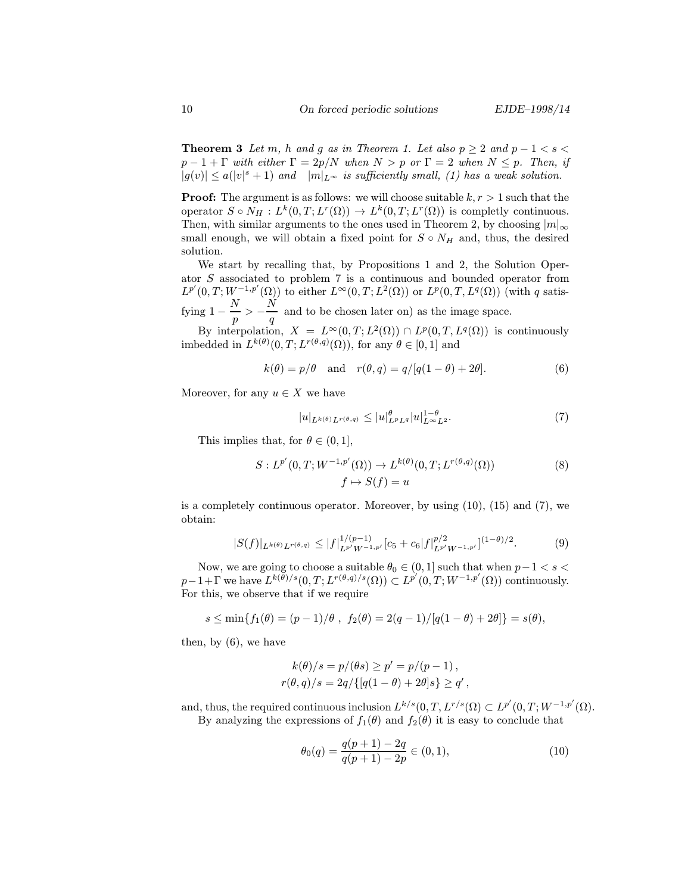**Theorem 3** Let m, h and g as in Theorem 1. Let also  $p \ge 2$  and  $p - 1 < s <$  $p-1+\Gamma$  with either  $\Gamma=2p/N$  when  $N>p$  or  $\Gamma=2$  when  $N\leq p$ . Then, if  $|g(v)| \leq a(|v|^s + 1)$  and  $|m|_{L^{\infty}}$  is sufficiently small, (1) has a weak solution.

**Proof:** The argument is as follows: we will choose suitable  $k, r > 1$  such that the operator  $S \circ N_H : L^k(0,T; L^r(\Omega)) \to L^k(0,T; L^r(\Omega))$  is completly continuous. Then, with similar arguments to the ones used in Theorem 2, by choosing  $|m|_{\infty}$ small enough, we will obtain a fixed point for  $S \circ N_H$  and, thus, the desired solution.

We start by recalling that, by Propositions 1 and 2, the Solution Operator S associated to problem 7 is a continuous and bounded operator from  $L^{p'}(0,T;W^{-1,p'}(\Omega))$  to either  $L^{\infty}(0,T;L^2(\Omega))$  or  $L^p(0,T,L^q(\Omega))$  (with q satisfying  $1 - \frac{N}{p} > -\frac{N}{q}$  and to be chosen later on) as the image space.

By interpolation,  $X = L^{\infty}(0,T;L^{2}(\Omega)) \cap L^{p}(0,T,L^{q}(\Omega))$  is continuously imbedded in  $L^{k(\theta)}(0,T;L^{r(\theta,q)}(\Omega))$ , for any  $\theta \in [0,1]$  and

$$
k(\theta) = p/\theta \quad \text{and} \quad r(\theta, q) = q/[q(1 - \theta) + 2\theta]. \tag{6}
$$

Moreover, for any  $u \in X$  we have

$$
|u|_{L^{k(\theta)}L^{r(\theta,q)}} \le |u|_{L^pL^q}^{\theta} |u|_{L^{\infty}L^2}^{1-\theta}.
$$
\n<sup>(7)</sup>

This implies that, for  $\theta \in (0, 1]$ ,

$$
S: L^{p'}(0, T; W^{-1, p'}(\Omega)) \to L^{k(\theta)}(0, T; L^{r(\theta, q)}(\Omega))
$$
  

$$
f \mapsto S(f) = u
$$
 (8)

is a completely continuous operator. Moreover, by using  $(10)$ ,  $(15)$  and  $(7)$ , we obtain:

$$
|S(f)|_{L^{k(\theta)}L^{r(\theta,q)}} \le |f|_{L^{p'}W^{-1,p'}}^{1/(p-1)}[c_5+c_6|f|_{L^{p'}W^{-1,p'}}^{p/2}]^{(1-\theta)/2}.
$$
 (9)

Now, we are going to choose a suitable  $\theta_0 \in (0,1]$  such that when  $p-1 < s <$  $p-1+\Gamma$  we have  $L^{k(\theta)/s}(0,T;L^{r(\theta,q)/s}(\Omega))\subset L^{p'}(0,T;W^{-1,p'}(\Omega))$  continuously. For this, we observe that if we require

$$
s \le \min\{f_1(\theta) = (p-1)/\theta, f_2(\theta) = 2(q-1)/[q(1-\theta)+2\theta]\} = s(\theta),
$$

then, by (6), we have

$$
k(\theta)/s = p/(\theta s) \ge p' = p/(p-1),
$$
  

$$
r(\theta, q)/s = 2q/{[q(1 - \theta) + 2\theta]s} \ge q',
$$

and, thus, the required continuous inclusion  $L^{k/s}(0,T,L^{r/s}(\Omega) \subset L^{p'}(0,T;W^{-1,p'}(\Omega))$ . By analyzing the expressions of  $f_1(\theta)$  and  $f_2(\theta)$  it is easy to conclude that

$$
\theta_0(q) = \frac{q(p+1) - 2q}{q(p+1) - 2p} \in (0,1),\tag{10}
$$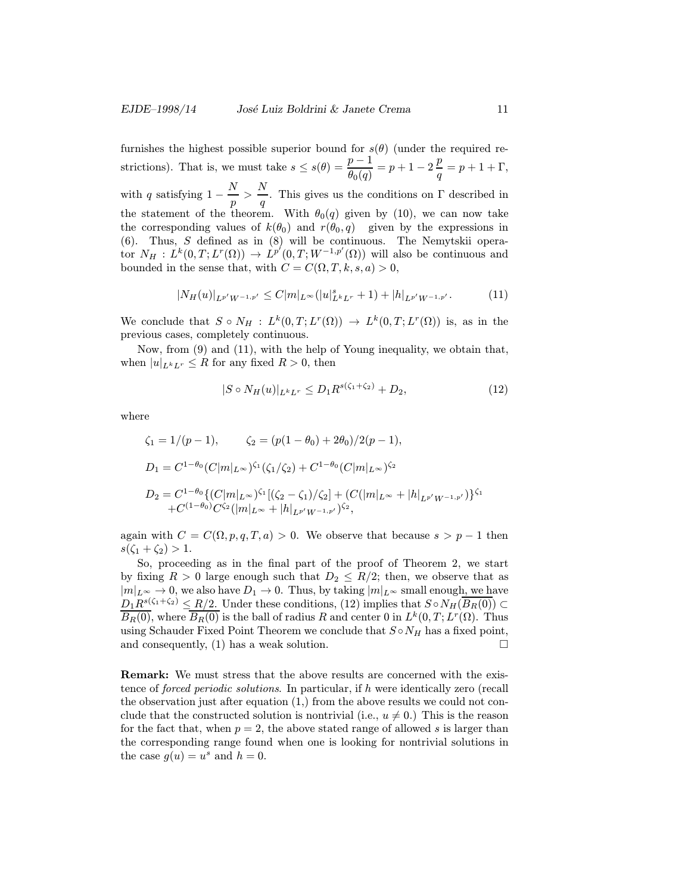furnishes the highest possible superior bound for  $s(\theta)$  (under the required restrictions). That is, we must take  $s \leq s(\theta) = \frac{p-1}{\theta_0(q)} = p+1-2\frac{p}{q} = p+1+\Gamma$ , with q satisfying  $1 - \frac{N}{p} > \frac{N}{q}$  $\frac{1}{q}$ . This gives us the conditions on  $\Gamma$  described in the statement of the theorem. With  $\theta_0(q)$  given by (10), we can now take the corresponding values of  $k(\theta_0)$  and  $r(\theta_0, q)$  given by the expressions in (6). Thus, S defined as in (8) will be continuous. The Nemytskii operator  $N_H : L^k(0,T; L^r(\Omega)) \to L^{p'}(0,T; W^{-1,p'}(\Omega))$  will also be continuous and bounded in the sense that, with  $C = C(\Omega, T, k, s, a) > 0$ ,

$$
|N_H(u)|_{L^{p'}W^{-1,p'}} \leq C|m|_{L^{\infty}}(|u|_{L^kL^r}^s+1)+|h|_{L^{p'}W^{-1,p'}}.\tag{11}
$$

We conclude that  $S \circ N_H : L^k(0,T;L^r(\Omega)) \to L^k(0,T;L^r(\Omega))$  is, as in the previous cases, completely continuous.

Now, from (9) and (11), with the help of Young inequality, we obtain that, when  $|u|_{L^k L^r} \leq R$  for any fixed  $R > 0$ , then

$$
|S \circ N_H(u)|_{L^k L^r} \le D_1 R^{s(\zeta_1 + \zeta_2)} + D_2,\tag{12}
$$

where

$$
\zeta_1 = 1/(p-1), \qquad \zeta_2 = (p(1-\theta_0) + 2\theta_0)/2(p-1),
$$
  
\n
$$
D_1 = C^{1-\theta_0}(C|m|_{L^{\infty}})^{\zeta_1}(\zeta_1/\zeta_2) + C^{1-\theta_0}(C|m|_{L^{\infty}})^{\zeta_2}
$$
  
\n
$$
D_2 = C^{1-\theta_0}\{(C|m|_{L^{\infty}})^{\zeta_1}[(\zeta_2 - \zeta_1)/\zeta_2] + (C(|m|_{L^{\infty}} + |h|_{L^{p'}W^{-1,p'}})^{\zeta_1})\}^{\zeta_1}
$$
  
\n+ $C^{(1-\theta_0)}C^{\zeta_2}(|m|_{L^{\infty}} + |h|_{L^{p'}W^{-1,p'}})^{\zeta_2},$ 

again with  $C = C(\Omega, p, q, T, a) > 0$ . We observe that because  $s > p - 1$  then  $s(\zeta_1 + \zeta_2) > 1.$ 

So, proceeding as in the final part of the proof of Theorem 2, we start by fixing  $R > 0$  large enough such that  $D_2 \leq R/2$ ; then, we observe that as  $|m|_{L^{\infty}} \to 0$ , we also have  $D_1 \to 0$ . Thus, by taking  $|m|_{L^{\infty}}$  small enough, we have  $D_1R^{s(\zeta_1+\zeta_2)} \leq R/2$ . Under these conditions, (12) implies that  $S \circ N_H(\overline{B_R(0)}) \subset$  $\overline{B_R(0)}$ , where  $\overline{B_R(0)}$  is the ball of radius R and center 0 in  $L^k(0,T;L^r(\Omega))$ . Thus using Schauder Fixed Point Theorem we conclude that  $S \circ N_H$  has a fixed point, and consequently, (1) has a weak solution.  $\square$ 

Remark: We must stress that the above results are concerned with the existence of forced periodic solutions. In particular, if h were identically zero (recall the observation just after equation (1,) from the above results we could not conclude that the constructed solution is nontrivial (i.e.,  $u \neq 0$ .) This is the reason for the fact that, when  $p = 2$ , the above stated range of allowed s is larger than the corresponding range found when one is looking for nontrivial solutions in the case  $g(u) = u^s$  and  $h = 0$ .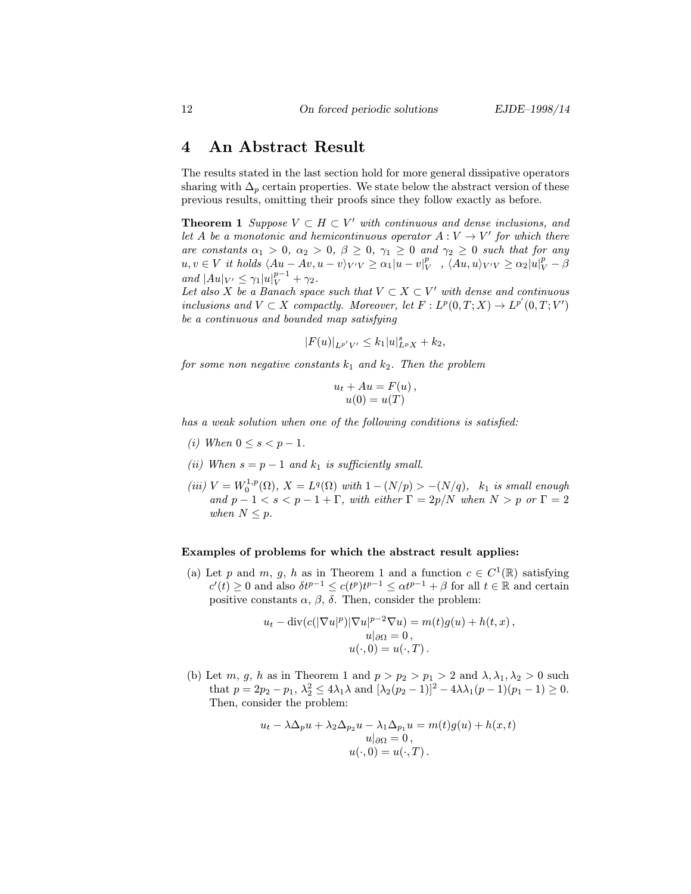### 4 An Abstract Result

The results stated in the last section hold for more general dissipative operators sharing with  $\Delta_p$  certain properties. We state below the abstract version of these previous results, omitting their proofs since they follow exactly as before.

**Theorem 1** Suppose  $V \subset H \subset V'$  with continuous and dense inclusions, and let A be a monotonic and hemicontinuous operator  $A: V \to V'$  for which there are constants  $\alpha_1 > 0$ ,  $\alpha_2 > 0$ ,  $\beta \geq 0$ ,  $\gamma_1 \geq 0$  and  $\gamma_2 \geq 0$  such that for any  $u, v \in V$  it holds  $\langle Au - Av, u - v \rangle_{V'V} \ge \alpha_1 |u - v|_V^p$ ,  $\langle Au, u \rangle_{V'V} \ge \alpha_2 |u|_V^p - \beta$ and  $|Au|_{V'} \leq \gamma_1 |u|_{V}^{p-1} + \gamma_2$ .

Let also X be a Banach space such that  $V \subset X \subset V'$  with dense and continuous inclusions and  $V \subset X$  compactly. Moreover, let  $F: L^p(0,T;X) \to L^{p'}(0,T;V')$ be a continuous and bounded map satisfying

$$
|F(u)|_{L^{p'}V'} \leq k_1|u|_{L^pX}^s + k_2,
$$

for some non negative constants  $k_1$  and  $k_2$ . Then the problem

$$
u_t + Au = F(u),
$$
  

$$
u(0) = u(T)
$$

has a weak solution when one of the following conditions is satisfied:

- (i) When  $0 \le s \le p-1$ .
- (ii) When  $s = p 1$  and  $k_1$  is sufficiently small.
- (iii)  $V = W_0^{1,p}(\Omega)$ ,  $X = L^q(\Omega)$  with  $1 (N/p) > -(N/q)$ ,  $k_1$  is small enough and  $p-1 < s < p-1+\Gamma$ , with either  $\Gamma = 2p/N$  when  $N > p$  or  $\Gamma = 2p$ when  $N \leq p$ .

#### Examples of problems for which the abstract result applies:

(a) Let p and m, g, h as in Theorem 1 and a function  $c \in C^1(\mathbb{R})$  satisfying  $c'(t) \geq 0$  and also  $\delta t^{p-1} \leq c(t^p)t^{p-1} \leq \alpha t^{p-1} + \beta$  for all  $t \in \mathbb{R}$  and certain positive constants  $\alpha$ ,  $\beta$ ,  $\delta$ . Then, consider the problem:

$$
u_t - \text{div}(c(|\nabla u|^p)|\nabla u|^{p-2}\nabla u) = m(t)g(u) + h(t, x),
$$
  
\n
$$
u|_{\partial\Omega} = 0,
$$
  
\n
$$
u(\cdot, 0) = u(\cdot, T).
$$

(b) Let m, g, h as in Theorem 1 and  $p > p_2 > p_1 > 2$  and  $\lambda, \lambda_1, \lambda_2 > 0$  such that  $p = 2p_2 - p_1$ ,  $\lambda_2^2 \le 4\lambda_1 \lambda$  and  $[\lambda_2(p_2 - 1)]^2 - 4\lambda_1 (p_1 - 1)(p_1 - 1) \ge 0$ . Then, consider the problem:

$$
u_t - \lambda \Delta_p u + \lambda_2 \Delta_{p_2} u - \lambda_1 \Delta_{p_1} u = m(t)g(u) + h(x, t)
$$
  

$$
u|_{\partial \Omega} = 0,
$$
  

$$
u(\cdot, 0) = u(\cdot, T).
$$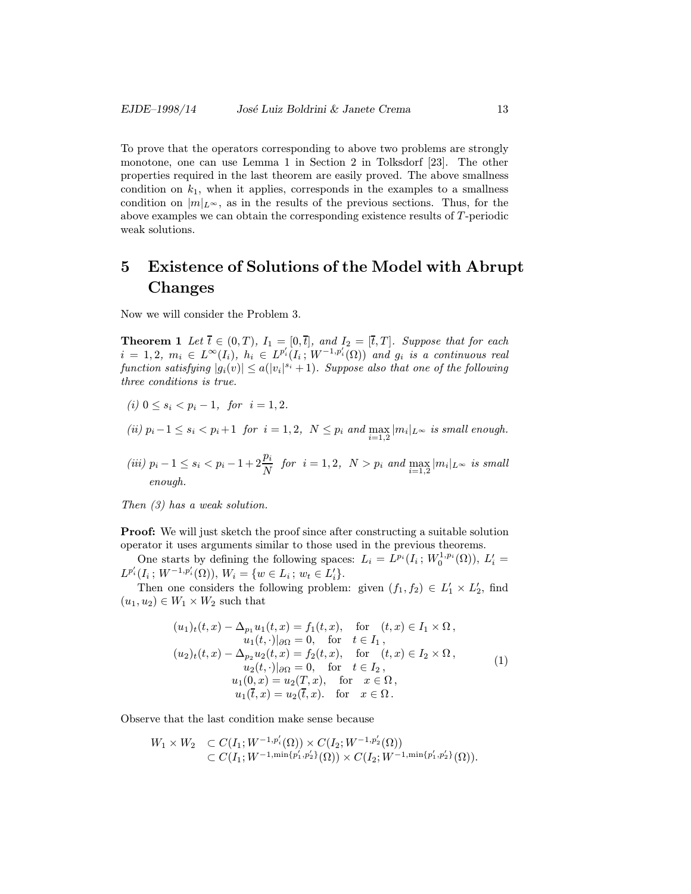To prove that the operators corresponding to above two problems are strongly monotone, one can use Lemma 1 in Section 2 in Tolksdorf [23]. The other properties required in the last theorem are easily proved. The above smallness condition on  $k_1$ , when it applies, corresponds in the examples to a smallness condition on  $|m|_{L^{\infty}}$ , as in the results of the previous sections. Thus, for the above examples we can obtain the corresponding existence results of T -periodic weak solutions.

## 5 Existence of Solutions of the Model with Abrupt Changes

Now we will consider the Problem 3.

**Theorem 1** Let  $\overline{t} \in (0,T)$ ,  $I_1 = [0,\overline{t}]$ , and  $I_2 = [\overline{t},T]$ . Suppose that for each  $i = 1, 2, m_i \in L^{\infty}(I_i), h_i \in L^{p_i'}(I_i; W^{-1,p_i'}(\Omega))$  and  $g_i$  is a continuous real function satisfying  $|g_i(v)| \leq a(|v_i|^{s_i}+1)$ . Suppose also that one of the following three conditions is true.

- (i)  $0 \le s_i \le p_i 1$ , for  $i = 1, 2$ .
- (ii)  $p_i-1 \leq s_i < p_i+1$  for  $i=1,2$ ,  $N \leq p_i$  and  $\max_{i=1,2} |m_i|_{L^{\infty}}$  is small enough.
- $(iii)$   $p_i 1 ≤ s_i < p_i 1 + 2\frac{p_i}{N}$  for  $i = 1, 2, N > p_i$  and  $\max_{i=1,2} |m_i|_{L^{\infty}}$  is small enough.

Then (3) has a weak solution.

Proof: We will just sketch the proof since after constructing a suitable solution operator it uses arguments similar to those used in the previous theorems.

One starts by defining the following spaces:  $L_i = L^{p_i}(I_i; W_0^{1,p_i}(\Omega)), L'_i =$  $L^{p_i'}(I_i; W^{-1,p_i'}(\Omega)), W_i = \{w \in L_i; w_t \in L_i'\}.$ 

Then one considers the following problem: given  $(f_1, f_2) \in L'_1 \times L'_2$ , find  $(u_1, u_2) \in W_1 \times W_2$  such that

$$
(u_1)_t(t,x) - \Delta_{p_1} u_1(t,x) = f_1(t,x), \quad \text{for} \quad (t,x) \in I_1 \times \Omega, u_1(t,\cdot)|_{\partial\Omega} = 0, \quad \text{for} \quad t \in I_1, (u_2)_t(t,x) - \Delta_{p_2} u_2(t,x) = f_2(t,x), \quad \text{for} \quad (t,x) \in I_2 \times \Omega, u_2(t,\cdot)|_{\partial\Omega} = 0, \quad \text{for} \quad t \in I_2, u_1(0,x) = u_2(T,x), \quad \text{for} \quad x \in \Omega, u_1(\overline{t},x) = u_2(\overline{t},x). \quad \text{for} \quad x \in \Omega.
$$
 (1)

Observe that the last condition make sense because

$$
W_1 \times W_2 \quad \subset C(I_1; W^{-1,p'_i}(\Omega)) \times C(I_2; W^{-1,p'_2}(\Omega)) \\ \subset C(I_1; W^{-1,\min\{p'_1,p'_2\}}(\Omega)) \times C(I_2; W^{-1,\min\{p'_1,p'_2\}}(\Omega)).
$$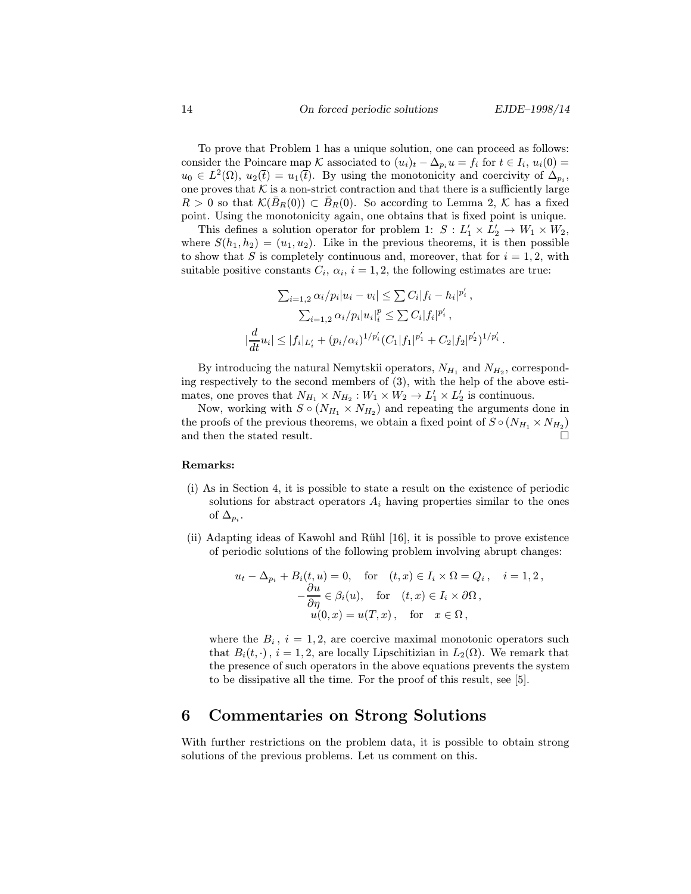To prove that Problem 1 has a unique solution, one can proceed as follows: consider the Poincare map K associated to  $(u_i)_t - \Delta_{p_i}u = f_i$  for  $t \in I_i$ ,  $u_i(0) =$  $u_0 \in L^2(\Omega)$ ,  $u_2(\bar{t}) = u_1(\bar{t})$ . By using the monotonicity and coercivity of  $\Delta_{p_i}$ , one proves that  ${\mathcal K}$  is a non-strict contraction and that there is a sufficiently large  $R > 0$  so that  $\mathcal{K}(B_R(0)) \subset B_R(0)$ . So according to Lemma 2, K has a fixed point. Using the monotonicity again, one obtains that is fixed point is unique.

This defines a solution operator for problem 1:  $S: L'_1 \times L'_2 \to W_1 \times W_2$ , where  $S(h_1, h_2)=(u_1, u_2)$ . Like in the previous theorems, it is then possible to show that S is completely continuous and, moreover, that for  $i = 1, 2$ , with suitable positive constants  $C_i$ ,  $\alpha_i$ ,  $i = 1, 2$ , the following estimates are true:

$$
\sum_{i=1,2} \alpha_i / p_i |u_i - v_i| \leq \sum C_i |f_i - h_i|^{p'_i},
$$
  

$$
\sum_{i=1,2} \alpha_i / p_i |u_i|_i^p \leq \sum C_i |f_i|^{p'_i},
$$
  

$$
\frac{d}{dt} u_i| \leq |f_i|_{L'_i} + (p_i/\alpha_i)^{1/p'_i} (C_1 |f_1|^{p'_1} + C_2 |f_2|^{p'_2})^{1/p'_i}.
$$

By introducing the natural Nemytskii operators,  $N_{H_1}$  and  $N_{H_2}$ , corresponding respectively to the second members of (3), with the help of the above estimates, one proves that  $N_{H_1} \times N_{H_2} : W_1 \times W_2 \to L'_1 \times L'_2$  is continuous.

Now, working with  $S \circ (N_{H_1} \times N_{H_2})$  and repeating the arguments done in the proofs of the previous theorems, we obtain a fixed point of  $S \circ (N_{H_1} \times N_{H_2})$ and then the stated result.  $\hfill \square$ 

#### Remarks:

- (i) As in Section 4, it is possible to state a result on the existence of periodic solutions for abstract operators  $A_i$  having properties similar to the ones of  $\Delta_{p_i}$ .
- (ii) Adapting ideas of Kawohl and Rühl  $[16]$ , it is possible to prove existence of periodic solutions of the following problem involving abrupt changes:

$$
u_t - \Delta_{p_i} + B_i(t, u) = 0, \quad \text{for} \quad (t, x) \in I_i \times \Omega = Q_i, \quad i = 1, 2,
$$
  

$$
-\frac{\partial u}{\partial \eta} \in \beta_i(u), \quad \text{for} \quad (t, x) \in I_i \times \partial \Omega,
$$
  

$$
u(0, x) = u(T, x), \quad \text{for} \quad x \in \Omega,
$$

where the  $B_i$ ,  $i = 1, 2$ , are coercive maximal monotonic operators such that  $B_i(t, \cdot)$ ,  $i = 1, 2$ , are locally Lipschitizian in  $L_2(\Omega)$ . We remark that the presence of such operators in the above equations prevents the system to be dissipative all the time. For the proof of this result, see [5].

## 6 Commentaries on Strong Solutions

With further restrictions on the problem data, it is possible to obtain strong solutions of the previous problems. Let us comment on this.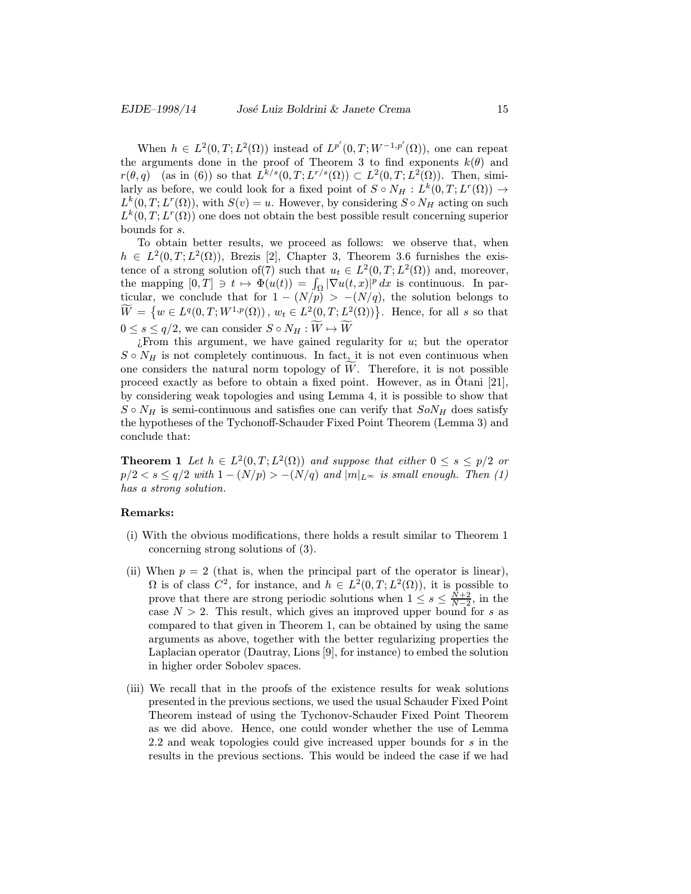When  $h \in L^2(0,T; L^2(\Omega))$  instead of  $L^{p'}(0,T; W^{-1,p'}(\Omega))$ , one can repeat the arguments done in the proof of Theorem 3 to find exponents  $k(\theta)$  and  $r(\theta, q)$  (as in (6)) so that  $L^{k/s}(0, T; L^{r/s}(\Omega)) \subset L^2(0, T; L^2(\Omega))$ . Then, similarly as before, we could look for a fixed point of  $S \circ N_H : L^k(0,T;L^r(\Omega)) \to$  $L^k(0,T;L^r(\Omega))$ , with  $S(v) = u$ . However, by considering  $S \circ N_H$  acting on such  $L^k(0,T;L^r(\Omega))$  one does not obtain the best possible result concerning superior bounds for s.

To obtain better results, we proceed as follows: we observe that, when  $h \in L^2(0,T; L^2(\Omega))$ , Brezis [2], Chapter 3, Theorem 3.6 furnishes the existence of a strong solution of(7) such that  $u_t \in L^2(0,T;L^2(\Omega))$  and, moreover, the mapping  $[0,T] \ni t \mapsto \Phi(u(t)) = \int_{\Omega} |\nabla u(t,x)|^p dx$  is continuous. In particular, we conclude that for  $1 - (N/p) > -(N/q)$ , the solution belongs to  $\widetilde{W} = \left\{ w \in L^{q}(0,T;W^{1,p}(\Omega)) \, , \, w_t \in L^{2}(0,T;L^{2}(\Omega)) \right\}$ . Hence, for all s so that  $0 \leq s \leq q/2$ , we can consider  $S \circ N_H : W \mapsto W$ 

 $i$ From this argument, we have gained regularity for  $u$ ; but the operator  $S \circ N_H$  is not completely continuous. In fact, it is not even continuous when one considers the natural norm topology of  $W$ . Therefore, it is not possible proceed exactly as before to obtain a fixed point. However, as in Otani [21], by considering weak topologies and using Lemma 4, it is possible to show that  $S \circ N_H$  is semi-continuous and satisfies one can verify that  $S \circ N_H$  does satisfy the hypotheses of the Tychonoff-Schauder Fixed Point Theorem (Lemma 3) and conclude that:

**Theorem 1** Let  $h \in L^2(0,T; L^2(\Omega))$  and suppose that either  $0 \leq s \leq p/2$  or  $p/2 < s \leq q/2$  with  $1 - (N/p) > -(N/q)$  and  $|m|_{L^{\infty}}$  is small enough. Then (1) has a strong solution.

#### Remarks:

- (i) With the obvious modifications, there holds a result similar to Theorem 1 concerning strong solutions of (3).
- (ii) When  $p = 2$  (that is, when the principal part of the operator is linear),  $\Omega$  is of class  $C^2$ , for instance, and  $h \in L^2(0,T;L^2(\Omega))$ , it is possible to prove that there are strong periodic solutions when  $1 \leq s \leq \frac{N+2}{N-2}$ , in the case  $N > 2$ . This result, which gives an improved upper bound for s as compared to that given in Theorem 1, can be obtained by using the same arguments as above, together with the better regularizing properties the Laplacian operator (Dautray, Lions [9], for instance) to embed the solution in higher order Sobolev spaces.
- (iii) We recall that in the proofs of the existence results for weak solutions presented in the previous sections, we used the usual Schauder Fixed Point Theorem instead of using the Tychonov-Schauder Fixed Point Theorem as we did above. Hence, one could wonder whether the use of Lemma 2.2 and weak topologies could give increased upper bounds for s in the results in the previous sections. This would be indeed the case if we had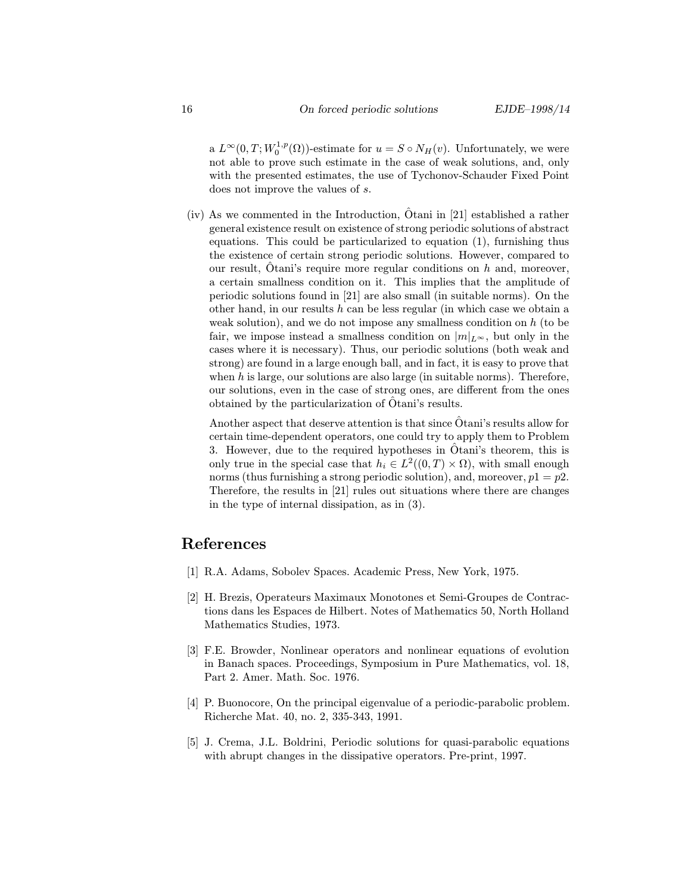a  $L^{\infty}(0,T;W_0^{1,p}(\Omega))$ -estimate for  $u = S \circ N_H(v)$ . Unfortunately, we were not able to prove such estimate in the case of weak solutions, and, only with the presented estimates, the use of Tychonov-Schauder Fixed Point does not improve the values of s.

 $(iv)$  As we commented in the Introduction, Otani in [21] established a rather general existence result on existence of strong periodic solutions of abstract equations. This could be particularized to equation (1), furnishing thus the existence of certain strong periodic solutions. However, compared to our result, Otani's require more regular conditions on  $h$  and, moreover, a certain smallness condition on it. This implies that the amplitude of periodic solutions found in [21] are also small (in suitable norms). On the other hand, in our results  $h$  can be less regular (in which case we obtain a weak solution), and we do not impose any smallness condition on  $h$  (to be fair, we impose instead a smallness condition on  $|m|_{L^{\infty}}$ , but only in the cases where it is necessary). Thus, our periodic solutions (both weak and strong) are found in a large enough ball, and in fact, it is easy to prove that when  $h$  is large, our solutions are also large (in suitable norms). Therefore, our solutions, even in the case of strong ones, are different from the ones obtained by the particularization of Otani's results. ˆ

Another aspect that deserve attention is that since  $\hat{O}$  tani's results allow for certain time-dependent operators, one could try to apply them to Problem 3. However, due to the required hypotheses in  $\hat{O}$ tani's theorem, this is only true in the special case that  $h_i \in L^2((0,T) \times \Omega)$ , with small enough norms (thus furnishing a strong periodic solution), and, moreover,  $p1 = p2$ . Therefore, the results in [21] rules out situations where there are changes in the type of internal dissipation, as in (3).

## References

- [1] R.A. Adams, Sobolev Spaces. Academic Press, New York, 1975.
- [2] H. Brezis, Operateurs Maximaux Monotones et Semi-Groupes de Contractions dans les Espaces de Hilbert. Notes of Mathematics 50, North Holland Mathematics Studies, 1973.
- [3] F.E. Browder, Nonlinear operators and nonlinear equations of evolution in Banach spaces. Proceedings, Symposium in Pure Mathematics, vol. 18, Part 2. Amer. Math. Soc. 1976.
- [4] P. Buonocore, On the principal eigenvalue of a periodic-parabolic problem. Richerche Mat. 40, no. 2, 335-343, 1991.
- [5] J. Crema, J.L. Boldrini, Periodic solutions for quasi-parabolic equations with abrupt changes in the dissipative operators. Pre-print, 1997.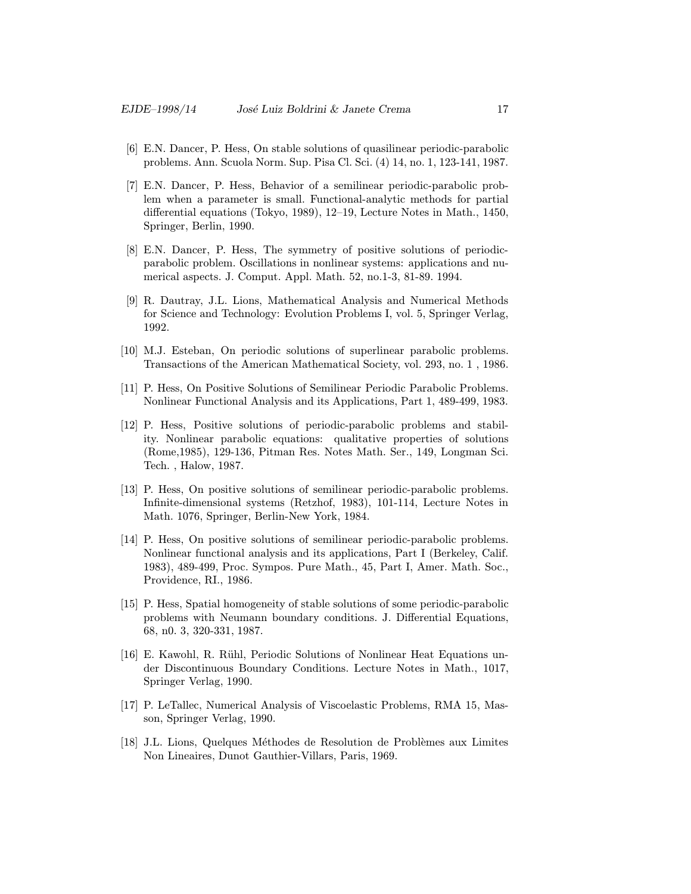- [6] E.N. Dancer, P. Hess, On stable solutions of quasilinear periodic-parabolic problems. Ann. Scuola Norm. Sup. Pisa Cl. Sci. (4) 14, no. 1, 123-141, 1987.
- [7] E.N. Dancer, P. Hess, Behavior of a semilinear periodic-parabolic problem when a parameter is small. Functional-analytic methods for partial differential equations (Tokyo, 1989), 12–19, Lecture Notes in Math., 1450, Springer, Berlin, 1990.
- [8] E.N. Dancer, P. Hess, The symmetry of positive solutions of periodicparabolic problem. Oscillations in nonlinear systems: applications and numerical aspects. J. Comput. Appl. Math. 52, no.1-3, 81-89. 1994.
- [9] R. Dautray, J.L. Lions, Mathematical Analysis and Numerical Methods for Science and Technology: Evolution Problems I, vol. 5, Springer Verlag, 1992.
- [10] M.J. Esteban, On periodic solutions of superlinear parabolic problems. Transactions of the American Mathematical Society, vol. 293, no. 1 , 1986.
- [11] P. Hess, On Positive Solutions of Semilinear Periodic Parabolic Problems. Nonlinear Functional Analysis and its Applications, Part 1, 489-499, 1983.
- [12] P. Hess, Positive solutions of periodic-parabolic problems and stability. Nonlinear parabolic equations: qualitative properties of solutions (Rome,1985), 129-136, Pitman Res. Notes Math. Ser., 149, Longman Sci. Tech. , Halow, 1987.
- [13] P. Hess, On positive solutions of semilinear periodic-parabolic problems. Infinite-dimensional systems (Retzhof, 1983), 101-114, Lecture Notes in Math. 1076, Springer, Berlin-New York, 1984.
- [14] P. Hess, On positive solutions of semilinear periodic-parabolic problems. Nonlinear functional analysis and its applications, Part I (Berkeley, Calif. 1983), 489-499, Proc. Sympos. Pure Math., 45, Part I, Amer. Math. Soc., Providence, RI., 1986.
- [15] P. Hess, Spatial homogeneity of stable solutions of some periodic-parabolic problems with Neumann boundary conditions. J. Differential Equations, 68, n0. 3, 320-331, 1987.
- [16] E. Kawohl, R. R¨uhl, Periodic Solutions of Nonlinear Heat Equations under Discontinuous Boundary Conditions. Lecture Notes in Math., 1017, Springer Verlag, 1990.
- [17] P. LeTallec, Numerical Analysis of Viscoelastic Problems, RMA 15, Masson, Springer Verlag, 1990.
- [18] J.L. Lions, Quelques Méthodes de Resolution de Problèmes aux Limites Non Lineaires, Dunot Gauthier-Villars, Paris, 1969.